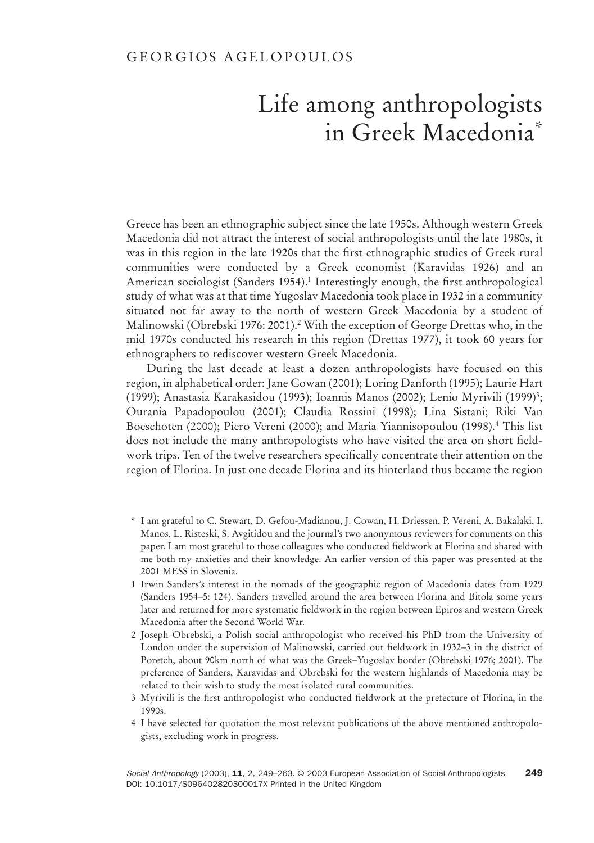# Life among anthropologists in Greek Macedonia\*

Greece has been an ethnographic subject since the late 1950s. Although western Greek Macedonia did not attract the interest of social anthropologists until the late 1980s, it was in this region in the late 1920s that the first ethnographic studies of Greek rural communities were conducted by a Greek economist (Karavidas 1926) and an American sociologist (Sanders 1954).<sup>1</sup> Interestingly enough, the first anthropological study of what was at that time Yugoslav Macedonia took place in 1932 in a community situated not far away to the north of western Greek Macedonia by a student of Malinowski (Obrebski 1976: 2001).2 With the exception of George Drettas who, in the mid 1970s conducted his research in this region (Drettas 1977), it took 60 years for ethnographers to rediscover western Greek Macedonia.

During the last decade at least a dozen anthropologists have focused on this region, in alphabetical order: Jane Cowan (2001); Loring Danforth (1995); Laurie Hart (1999); Anastasia Karakasidou (1993); Ioannis Manos (2002); Lenio Myrivili (1999)3; Ourania Papadopoulou (2001); Claudia Rossini (1998); Lina Sistani; Riki Van Boeschoten (2000); Piero Vereni (2000); and Maria Yiannisopoulou (1998).4 This list does not include the many anthropologists who have visited the area on short fieldwork trips. Ten of the twelve researchers specifically concentrate their attention on the region of Florina. In just one decade Florina and its hinterland thus became the region

- \* I am grateful to C. Stewart, D. Gefou-Madianou, J. Cowan, H. Driessen, P. Vereni, A. Bakalaki, I. Manos, L. Risteski, S. Avgitidou and the journal's two anonymous reviewers for comments on this paper. I am most grateful to those colleagues who conducted fieldwork at Florina and shared with me both my anxieties and their knowledge. An earlier version of this paper was presented at the 2001 MESS in Slovenia.
- 1 Irwin Sanders's interest in the nomads of the geographic region of Macedonia dates from 1929 (Sanders 1954–5: 124). Sanders travelled around the area between Florina and Bitola some years later and returned for more systematic fieldwork in the region between Epiros and western Greek Macedonia after the Second World War.
- 2 Joseph Obrebski, a Polish social anthropologist who received his PhD from the University of London under the supervision of Malinowski, carried out fieldwork in 1932–3 in the district of Poretch, about 90km north of what was the Greek–Yugoslav border (Obrebski 1976; 2001). The preference of Sanders, Karavidas and Obrebski for the western highlands of Macedonia may be related to their wish to study the most isolated rural communities.
- 3 Myrivili is the first anthropologist who conducted fieldwork at the prefecture of Florina, in the 1990s.
- 4 I have selected for quotation the most relevant publications of the above mentioned anthropologists, excluding work in progress.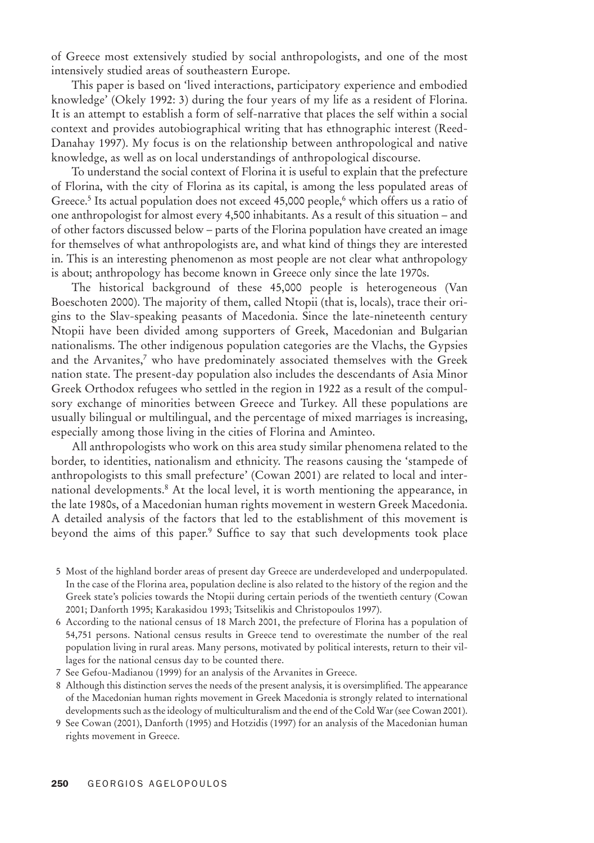of Greece most extensively studied by social anthropologists, and one of the most intensively studied areas of southeastern Europe.

This paper is based on 'lived interactions, participatory experience and embodied knowledge' (Okely 1992: 3) during the four years of my life as a resident of Florina. It is an attempt to establish a form of self-narrative that places the self within a social context and provides autobiographical writing that has ethnographic interest (Reed-Danahay 1997). My focus is on the relationship between anthropological and native knowledge, as well as on local understandings of anthropological discourse.

To understand the social context of Florina it is useful to explain that the prefecture of Florina, with the city of Florina as its capital, is among the less populated areas of Greece.<sup>5</sup> Its actual population does not exceed 45,000 people,<sup>6</sup> which offers us a ratio of one anthropologist for almost every 4,500 inhabitants. As a result of this situation – and of other factors discussed below – parts of the Florina population have created an image for themselves of what anthropologists are, and what kind of things they are interested in. This is an interesting phenomenon as most people are not clear what anthropology is about; anthropology has become known in Greece only since the late 1970s.

The historical background of these 45,000 people is heterogeneous (Van Boeschoten 2000). The majority of them, called Ntopii (that is, locals), trace their origins to the Slav-speaking peasants of Macedonia. Since the late-nineteenth century Ntopii have been divided among supporters of Greek, Macedonian and Bulgarian nationalisms. The other indigenous population categories are the Vlachs, the Gypsies and the Arvanites,<sup>7</sup> who have predominately associated themselves with the Greek nation state. The present-day population also includes the descendants of Asia Minor Greek Orthodox refugees who settled in the region in 1922 as a result of the compulsory exchange of minorities between Greece and Turkey. All these populations are usually bilingual or multilingual, and the percentage of mixed marriages is increasing, especially among those living in the cities of Florina and Aminteo.

All anthropologists who work on this area study similar phenomena related to the border, to identities, nationalism and ethnicity. The reasons causing the 'stampede of anthropologists to this small prefecture' (Cowan 2001) are related to local and international developments.8 At the local level, it is worth mentioning the appearance, in the late 1980s, of a Macedonian human rights movement in western Greek Macedonia. A detailed analysis of the factors that led to the establishment of this movement is beyond the aims of this paper.<sup>9</sup> Suffice to say that such developments took place

- 5 Most of the highland border areas of present day Greece are underdeveloped and underpopulated. In the case of the Florina area, population decline is also related to the history of the region and the Greek state's policies towards the Ntopii during certain periods of the twentieth century (Cowan 2001; Danforth 1995; Karakasidou 1993; Tsitselikis and Christopoulos 1997).
- 6 According to the national census of 18 March 2001, the prefecture of Florina has a population of 54,751 persons. National census results in Greece tend to overestimate the number of the real population living in rural areas. Many persons, motivated by political interests, return to their villages for the national census day to be counted there.
- 7 See Gefou-Madianou (1999) for an analysis of the Arvanites in Greece.
- 8 Although this distinction serves the needs of the present analysis, it is oversimplified. The appearance of the Macedonian human rights movement in Greek Macedonia is strongly related to international developments such as the ideology of multiculturalism and the end of the Cold War (see Cowan 2001).
- 9 See Cowan (2001), Danforth (1995) and Hotzidis (1997) for an analysis of the Macedonian human rights movement in Greece.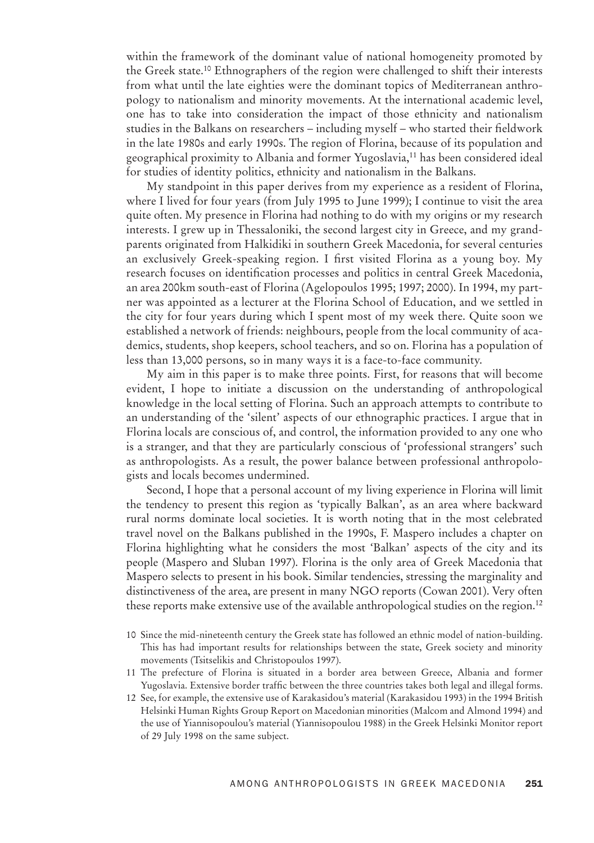within the framework of the dominant value of national homogeneity promoted by the Greek state.10 Ethnographers of the region were challenged to shift their interests from what until the late eighties were the dominant topics of Mediterranean anthropology to nationalism and minority movements. At the international academic level, one has to take into consideration the impact of those ethnicity and nationalism studies in the Balkans on researchers – including myself – who started their fieldwork in the late 1980s and early 1990s. The region of Florina, because of its population and geographical proximity to Albania and former Yugoslavia,11 has been considered ideal for studies of identity politics, ethnicity and nationalism in the Balkans.

My standpoint in this paper derives from my experience as a resident of Florina, where I lived for four years (from July 1995 to June 1999); I continue to visit the area quite often. My presence in Florina had nothing to do with my origins or my research interests. I grew up in Thessaloniki, the second largest city in Greece, and my grandparents originated from Halkidiki in southern Greek Macedonia, for several centuries an exclusively Greek-speaking region. I first visited Florina as a young boy. My research focuses on identification processes and politics in central Greek Macedonia, an area 200km south-east of Florina (Agelopoulos 1995; 1997; 2000). In 1994, my partner was appointed as a lecturer at the Florina School of Education, and we settled in the city for four years during which I spent most of my week there. Quite soon we established a network of friends: neighbours, people from the local community of academics, students, shop keepers, school teachers, and so on. Florina has a population of less than 13,000 persons, so in many ways it is a face-to-face community.

My aim in this paper is to make three points. First, for reasons that will become evident, I hope to initiate a discussion on the understanding of anthropological knowledge in the local setting of Florina. Such an approach attempts to contribute to an understanding of the 'silent' aspects of our ethnographic practices. I argue that in Florina locals are conscious of, and control, the information provided to any one who is a stranger, and that they are particularly conscious of 'professional strangers' such as anthropologists. As a result, the power balance between professional anthropologists and locals becomes undermined.

Second, I hope that a personal account of my living experience in Florina will limit the tendency to present this region as 'typically Balkan', as an area where backward rural norms dominate local societies. It is worth noting that in the most celebrated travel novel on the Balkans published in the 1990s, F. Maspero includes a chapter on Florina highlighting what he considers the most 'Balkan' aspects of the city and its people (Maspero and Sluban 1997). Florina is the only area of Greek Macedonia that Maspero selects to present in his book. Similar tendencies, stressing the marginality and distinctiveness of the area, are present in many NGO reports (Cowan 2001). Very often these reports make extensive use of the available anthropological studies on the region.<sup>12</sup>

- 10 Since the mid-nineteenth century the Greek state has followed an ethnic model of nation-building. This has had important results for relationships between the state, Greek society and minority movements (Tsitselikis and Christopoulos 1997).
- 11 The prefecture of Florina is situated in a border area between Greece, Albania and former Yugoslavia. Extensive border traffic between the three countries takes both legal and illegal forms.
- 12 See, for example, the extensive use of Karakasidou's material (Karakasidou 1993) in the 1994 British Helsinki Human Rights Group Report on Macedonian minorities (Malcom and Almond 1994) and the use of Yiannisopoulou's material (Yiannisopoulou 1988) in the Greek Helsinki Monitor report of 29 July 1998 on the same subject.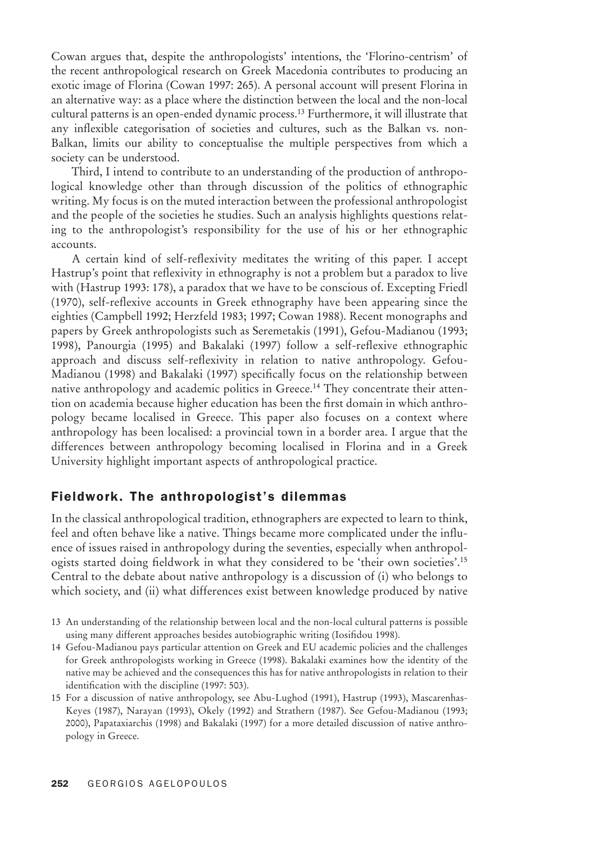Cowan argues that, despite the anthropologists' intentions, the 'Florino-centrism' of the recent anthropological research on Greek Macedonia contributes to producing an exotic image of Florina (Cowan 1997: 265). A personal account will present Florina in an alternative way: as a place where the distinction between the local and the non-local cultural patterns is an open-ended dynamic process.13 Furthermore, it will illustrate that any inflexible categorisation of societies and cultures, such as the Balkan vs. non-Balkan, limits our ability to conceptualise the multiple perspectives from which a society can be understood.

Third, I intend to contribute to an understanding of the production of anthropological knowledge other than through discussion of the politics of ethnographic writing. My focus is on the muted interaction between the professional anthropologist and the people of the societies he studies. Such an analysis highlights questions relating to the anthropologist's responsibility for the use of his or her ethnographic accounts.

A certain kind of self-reflexivity meditates the writing of this paper. I accept Hastrup's point that reflexivity in ethnography is not a problem but a paradox to live with (Hastrup 1993: 178), a paradox that we have to be conscious of. Excepting Friedl (1970), self-reflexive accounts in Greek ethnography have been appearing since the eighties (Campbell 1992; Herzfeld 1983; 1997; Cowan 1988). Recent monographs and papers by Greek anthropologists such as Seremetakis (1991), Gefou-Madianou (1993; 1998), Panourgia (1995) and Bakalaki (1997) follow a self-reflexive ethnographic approach and discuss self-reflexivity in relation to native anthropology. Gefou-Madianou (1998) and Bakalaki (1997) specifically focus on the relationship between native anthropology and academic politics in Greece.<sup>14</sup> They concentrate their attention on academia because higher education has been the first domain in which anthropology became localised in Greece. This paper also focuses on a context where anthropology has been localised: a provincial town in a border area. I argue that the differences between anthropology becoming localised in Florina and in a Greek University highlight important aspects of anthropological practice.

# Fieldwork. The anthropologist's dilemmas

In the classical anthropological tradition, ethnographers are expected to learn to think, feel and often behave like a native. Things became more complicated under the influence of issues raised in anthropology during the seventies, especially when anthropologists started doing fieldwork in what they considered to be 'their own societies'.15 Central to the debate about native anthropology is a discussion of (i) who belongs to which society, and (ii) what differences exist between knowledge produced by native

- 13 An understanding of the relationship between local and the non-local cultural patterns is possible using many different approaches besides autobiographic writing (Iosifidou 1998).
- 14 Gefou-Madianou pays particular attention on Greek and EU academic policies and the challenges for Greek anthropologists working in Greece (1998). Bakalaki examines how the identity of the native may be achieved and the consequences this has for native anthropologists in relation to their identification with the discipline (1997: 503).
- 15 For a discussion of native anthropology, see Abu-Lughod (1991), Hastrup (1993), Mascarenhas-Keyes (1987), Narayan (1993), Okely (1992) and Strathern (1987). See Gefou-Madianou (1993; 2000), Papataxiarchis (1998) and Bakalaki (1997) for a more detailed discussion of native anthropology in Greece.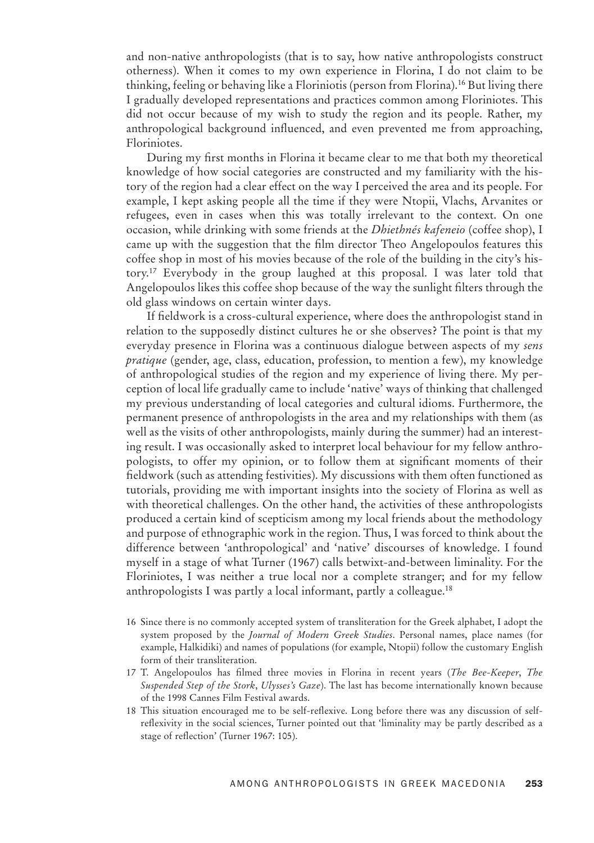and non-native anthropologists (that is to say, how native anthropologists construct otherness). When it comes to my own experience in Florina, I do not claim to be thinking, feeling or behaving like a Floriniotis (person from Florina).16 But living there I gradually developed representations and practices common among Floriniotes. This did not occur because of my wish to study the region and its people. Rather, my anthropological background influenced, and even prevented me from approaching, Floriniotes.

During my first months in Florina it became clear to me that both my theoretical knowledge of how social categories are constructed and my familiarity with the history of the region had a clear effect on the way I perceived the area and its people. For example, I kept asking people all the time if they were Ntopii, Vlachs, Arvanites or refugees, even in cases when this was totally irrelevant to the context. On one occasion, while drinking with some friends at the *Dhiethnés kafeneio* (coffee shop), I came up with the suggestion that the film director Theo Angelopoulos features this coffee shop in most of his movies because of the role of the building in the city's history.17 Everybody in the group laughed at this proposal. I was later told that Angelopoulos likes this coffee shop because of the way the sunlight filters through the old glass windows on certain winter days.

If fieldwork is a cross-cultural experience, where does the anthropologist stand in relation to the supposedly distinct cultures he or she observes? The point is that my everyday presence in Florina was a continuous dialogue between aspects of my *sens pratique* (gender, age, class, education, profession, to mention a few), my knowledge of anthropological studies of the region and my experience of living there. My perception of local life gradually came to include 'native' ways of thinking that challenged my previous understanding of local categories and cultural idioms. Furthermore, the permanent presence of anthropologists in the area and my relationships with them (as well as the visits of other anthropologists, mainly during the summer) had an interesting result. I was occasionally asked to interpret local behaviour for my fellow anthropologists, to offer my opinion, or to follow them at significant moments of their fieldwork (such as attending festivities). My discussions with them often functioned as tutorials, providing me with important insights into the society of Florina as well as with theoretical challenges. On the other hand, the activities of these anthropologists produced a certain kind of scepticism among my local friends about the methodology and purpose of ethnographic work in the region. Thus, I was forced to think about the difference between 'anthropological' and 'native' discourses of knowledge. I found myself in a stage of what Turner (1967) calls betwixt-and-between liminality. For the Floriniotes, I was neither a true local nor a complete stranger; and for my fellow anthropologists I was partly a local informant, partly a colleague.18

- 16 Since there is no commonly accepted system of transliteration for the Greek alphabet, I adopt the system proposed by the *Journal of Modern Greek Studies*. Personal names, place names (for example, Halkidiki) and names of populations (for example, Ntopii) follow the customary English form of their transliteration.
- 17 T. Angelopoulos has filmed three movies in Florina in recent years (*The Bee-Keeper*, *The Suspended Step of the Stork*, *Ulysses's Gaze*). The last has become internationally known because of the 1998 Cannes Film Festival awards.
- 18 This situation encouraged me to be self-reflexive. Long before there was any discussion of selfreflexivity in the social sciences, Turner pointed out that 'liminality may be partly described as a stage of reflection' (Turner 1967: 105).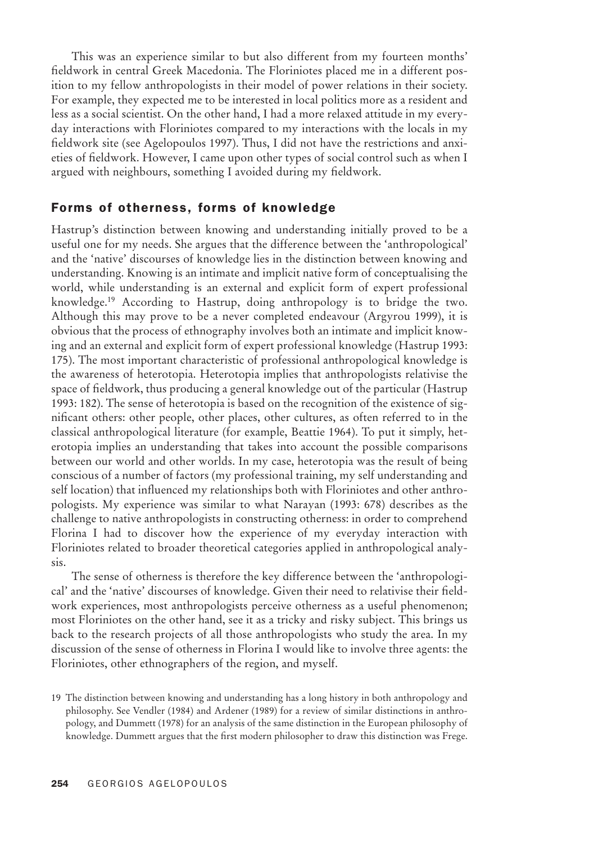This was an experience similar to but also different from my fourteen months' fieldwork in central Greek Macedonia. The Floriniotes placed me in a different position to my fellow anthropologists in their model of power relations in their society. For example, they expected me to be interested in local politics more as a resident and less as a social scientist. On the other hand, I had a more relaxed attitude in my everyday interactions with Floriniotes compared to my interactions with the locals in my fieldwork site (see Agelopoulos 1997). Thus, I did not have the restrictions and anxieties of fieldwork. However, I came upon other types of social control such as when I argued with neighbours, something I avoided during my fieldwork.

## Forms of otherness, forms of knowledge

Hastrup's distinction between knowing and understanding initially proved to be a useful one for my needs. She argues that the difference between the 'anthropological' and the 'native' discourses of knowledge lies in the distinction between knowing and understanding. Knowing is an intimate and implicit native form of conceptualising the world, while understanding is an external and explicit form of expert professional knowledge.19 According to Hastrup, doing anthropology is to bridge the two. Although this may prove to be a never completed endeavour (Argyrou 1999), it is obvious that the process of ethnography involves both an intimate and implicit knowing and an external and explicit form of expert professional knowledge (Hastrup 1993: 175). The most important characteristic of professional anthropological knowledge is the awareness of heterotopia. Heterotopia implies that anthropologists relativise the space of fieldwork, thus producing a general knowledge out of the particular (Hastrup 1993: 182). The sense of heterotopia is based on the recognition of the existence of significant others: other people, other places, other cultures, as often referred to in the classical anthropological literature (for example, Beattie 1964). To put it simply, heterotopia implies an understanding that takes into account the possible comparisons between our world and other worlds. In my case, heterotopia was the result of being conscious of a number of factors (my professional training, my self understanding and self location) that influenced my relationships both with Floriniotes and other anthropologists. My experience was similar to what Narayan (1993: 678) describes as the challenge to native anthropologists in constructing otherness: in order to comprehend Florina I had to discover how the experience of my everyday interaction with Floriniotes related to broader theoretical categories applied in anthropological analysis.

The sense of otherness is therefore the key difference between the 'anthropological' and the 'native' discourses of knowledge. Given their need to relativise their fieldwork experiences, most anthropologists perceive otherness as a useful phenomenon; most Floriniotes on the other hand, see it as a tricky and risky subject. This brings us back to the research projects of all those anthropologists who study the area. In my discussion of the sense of otherness in Florina I would like to involve three agents: the Floriniotes, other ethnographers of the region, and myself.

<sup>19</sup> The distinction between knowing and understanding has a long history in both anthropology and philosophy. See Vendler (1984) and Ardener (1989) for a review of similar distinctions in anthropology, and Dummett (1978) for an analysis of the same distinction in the European philosophy of knowledge. Dummett argues that the first modern philosopher to draw this distinction was Frege.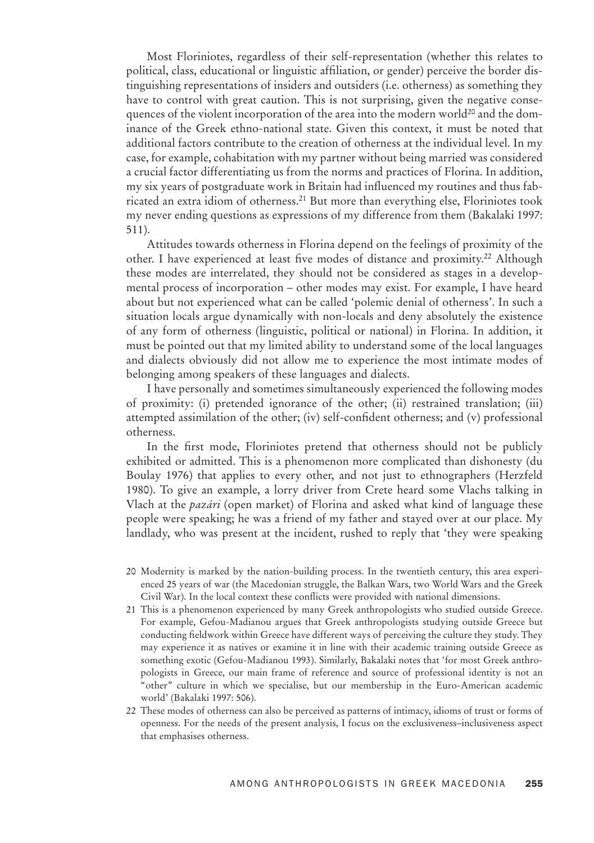Most Floriniotes, regardless of their self-representation (whether this relates to political, class, educational or linguistic affiliation, or gender) perceive the border distinguishing representations of insiders and outsiders (i.e. otherness) as something they have to control with great caution. This is not surprising, given the negative consequences of the violent incorporation of the area into the modern world<sup>20</sup> and the dominance of the Greek ethno-national state. Given this context, it must be noted that additional factors contribute to the creation of otherness at the individual level. In my case, for example, cohabitation with my partner without being married was considered a crucial factor differentiating us from the norms and practices of Florina. In addition, my six years of postgraduate work in Britain had influenced my routines and thus fabricated an extra idiom of otherness.21 But more than everything else, Floriniotes took my never ending questions as expressions of my difference from them (Bakalaki 1997: 511).

Attitudes towards otherness in Florina depend on the feelings of proximity of the other. I have experienced at least five modes of distance and proximity.22 Although these modes are interrelated, they should not be considered as stages in a developmental process of incorporation – other modes may exist. For example, I have heard about but not experienced what can be called 'polemic denial of otherness'. In such a situation locals argue dynamically with non-locals and deny absolutely the existence of any form of otherness (linguistic, political or national) in Florina. In addition, it must be pointed out that my limited ability to understand some of the local languages and dialects obviously did not allow me to experience the most intimate modes of belonging among speakers of these languages and dialects.

I have personally and sometimes simultaneously experienced the following modes of proximity: (i) pretended ignorance of the other; (ii) restrained translation; (iii) attempted assimilation of the other; (iv) self-confident otherness; and (v) professional otherness.

In the first mode, Floriniotes pretend that otherness should not be publicly exhibited or admitted. This is a phenomenon more complicated than dishonesty (du Boulay 1976) that applies to every other, and not just to ethnographers (Herzfeld 1980). To give an example, a lorry driver from Crete heard some Vlachs talking in Vlach at the *pazári* (open market) of Florina and asked what kind of language these people were speaking; he was a friend of my father and stayed over at our place. My landlady, who was present at the incident, rushed to reply that 'they were speaking

- 20 Modernity is marked by the nation-building process. In the twentieth century, this area experienced 25 years of war (the Macedonian struggle, the Balkan Wars, two World Wars and the Greek Civil War). In the local context these conflicts were provided with national dimensions.
- 21 This is a phenomenon experienced by many Greek anthropologists who studied outside Greece. For example, Gefou-Madianou argues that Greek anthropologists studying outside Greece but conducting fieldwork within Greece have different ways of perceiving the culture they study. They may experience it as natives or examine it in line with their academic training outside Greece as something exotic (Gefou-Madianou 1993). Similarly, Bakalaki notes that 'for most Greek anthropologists in Greece, our main frame of reference and source of professional identity is not an "other" culture in which we specialise, but our membership in the Euro-American academic world' (Bakalaki 1997: 506).
- 22 These modes of otherness can also be perceived as patterns of intimacy, idioms of trust or forms of openness. For the needs of the present analysis, I focus on the exclusiveness–inclusiveness aspect that emphasises otherness.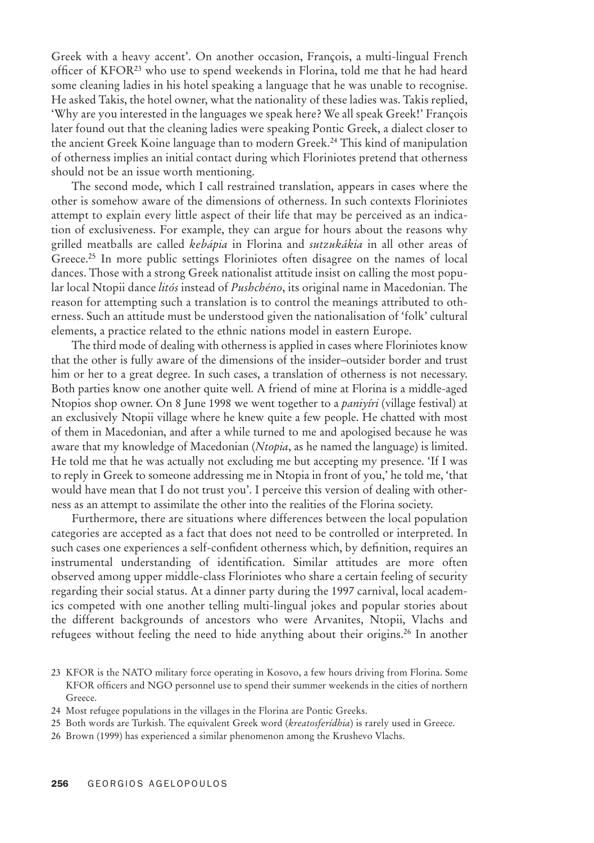Greek with a heavy accent'. On another occasion, François, a multi-lingual French officer of KFOR23 who use to spend weekends in Florina, told me that he had heard some cleaning ladies in his hotel speaking a language that he was unable to recognise. He asked Takis, the hotel owner, what the nationality of these ladies was. Takis replied, 'Why are you interested in the languages we speak here? We all speak Greek!' François later found out that the cleaning ladies were speaking Pontic Greek, a dialect closer to the ancient Greek Koine language than to modern Greek.24 This kind of manipulation of otherness implies an initial contact during which Floriniotes pretend that otherness should not be an issue worth mentioning.

The second mode, which I call restrained translation, appears in cases where the other is somehow aware of the dimensions of otherness. In such contexts Floriniotes attempt to explain every little aspect of their life that may be perceived as an indication of exclusiveness. For example, they can argue for hours about the reasons why grilled meatballs are called *kebápia* in Florina and *sutzukákia* in all other areas of Greece.25 In more public settings Floriniotes often disagree on the names of local dances. Those with a strong Greek nationalist attitude insist on calling the most popular local Ntopii dance *litós* instead of *Pushchéno*, its original name in Macedonian. The reason for attempting such a translation is to control the meanings attributed to otherness. Such an attitude must be understood given the nationalisation of 'folk' cultural elements, a practice related to the ethnic nations model in eastern Europe.

The third mode of dealing with otherness is applied in cases where Floriniotes know that the other is fully aware of the dimensions of the insider–outsider border and trust him or her to a great degree. In such cases, a translation of otherness is not necessary. Both parties know one another quite well. A friend of mine at Florina is a middle-aged Ntopios shop owner. On 8 June 1998 we went together to a *paniyíri* (village festival) at an exclusively Ntopii village where he knew quite a few people. He chatted with most of them in Macedonian, and after a while turned to me and apologised because he was aware that my knowledge of Macedonian (*Ntopia*, as he named the language) is limited. He told me that he was actually not excluding me but accepting my presence. 'If I was to reply in Greek to someone addressing me in Ntopia in front of you,' he told me, 'that would have mean that I do not trust you'. I perceive this version of dealing with otherness as an attempt to assimilate the other into the realities of the Florina society.

Furthermore, there are situations where differences between the local population categories are accepted as a fact that does not need to be controlled or interpreted. In such cases one experiences a self-confident otherness which, by definition, requires an instrumental understanding of identification. Similar attitudes are more often observed among upper middle-class Floriniotes who share a certain feeling of security regarding their social status. At a dinner party during the 1997 carnival, local academics competed with one another telling multi-lingual jokes and popular stories about the different backgrounds of ancestors who were Arvanites, Ntopii, Vlachs and refugees without feeling the need to hide anything about their origins.<sup>26</sup> In another

- 23 KFOR is the NATO military force operating in Kosovo, a few hours driving from Florina. Some KFOR officers and NGO personnel use to spend their summer weekends in the cities of northern Greece.
- 24 Most refugee populations in the villages in the Florina are Pontic Greeks.
- 25 Both words are Turkish. The equivalent Greek word (*kreatosferídhia*) is rarely used in Greece.
- 26 Brown (1999) has experienced a similar phenomenon among the Krushevo Vlachs.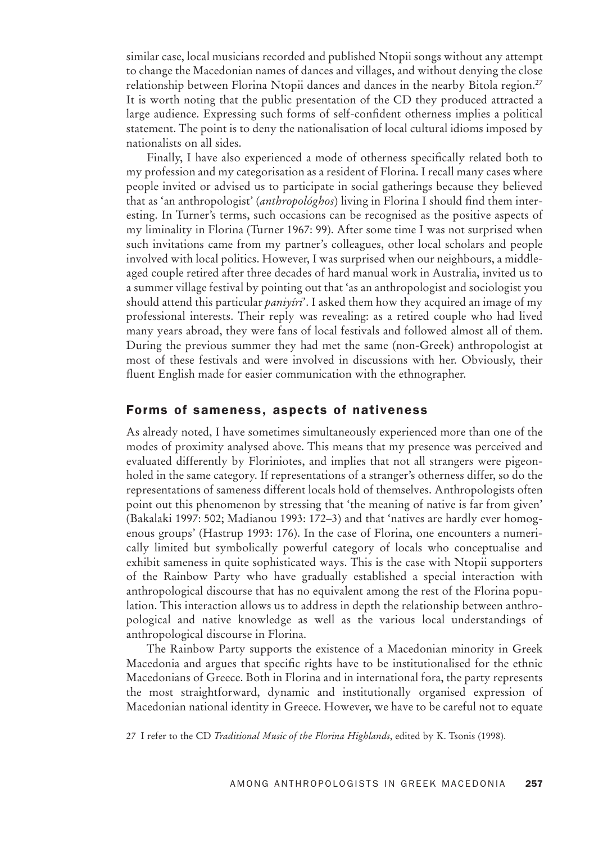similar case, local musicians recorded and published Ntopii songs without any attempt to change the Macedonian names of dances and villages, and without denying the close relationship between Florina Ntopii dances and dances in the nearby Bitola region.<sup>27</sup> It is worth noting that the public presentation of the CD they produced attracted a large audience. Expressing such forms of self-confident otherness implies a political statement. The point is to deny the nationalisation of local cultural idioms imposed by nationalists on all sides.

Finally, I have also experienced a mode of otherness specifically related both to my profession and my categorisation as a resident of Florina. I recall many cases where people invited or advised us to participate in social gatherings because they believed that as 'an anthropologist' (*anthropológhos*) living in Florina I should find them interesting. In Turner's terms, such occasions can be recognised as the positive aspects of my liminality in Florina (Turner 1967: 99). After some time I was not surprised when such invitations came from my partner's colleagues, other local scholars and people involved with local politics. However, I was surprised when our neighbours, a middleaged couple retired after three decades of hard manual work in Australia, invited us to a summer village festival by pointing out that 'as an anthropologist and sociologist you should attend this particular *paniyíri*'. I asked them how they acquired an image of my professional interests. Their reply was revealing: as a retired couple who had lived many years abroad, they were fans of local festivals and followed almost all of them. During the previous summer they had met the same (non-Greek) anthropologist at most of these festivals and were involved in discussions with her. Obviously, their fluent English made for easier communication with the ethnographer.

#### Forms of sameness, aspects of nativeness

As already noted, I have sometimes simultaneously experienced more than one of the modes of proximity analysed above. This means that my presence was perceived and evaluated differently by Floriniotes, and implies that not all strangers were pigeonholed in the same category. If representations of a stranger's otherness differ, so do the representations of sameness different locals hold of themselves. Anthropologists often point out this phenomenon by stressing that 'the meaning of native is far from given' (Bakalaki 1997: 502; Madianou 1993: 172–3) and that 'natives are hardly ever homogenous groups' (Hastrup 1993: 176). In the case of Florina, one encounters a numerically limited but symbolically powerful category of locals who conceptualise and exhibit sameness in quite sophisticated ways. This is the case with Ntopii supporters of the Rainbow Party who have gradually established a special interaction with anthropological discourse that has no equivalent among the rest of the Florina population. This interaction allows us to address in depth the relationship between anthropological and native knowledge as well as the various local understandings of anthropological discourse in Florina.

The Rainbow Party supports the existence of a Macedonian minority in Greek Macedonia and argues that specific rights have to be institutionalised for the ethnic Macedonians of Greece. Both in Florina and in international fora, the party represents the most straightforward, dynamic and institutionally organised expression of Macedonian national identity in Greece. However, we have to be careful not to equate

27 I refer to the CD *Traditional Music of the Florina Highlands*, edited by K. Tsonis (1998).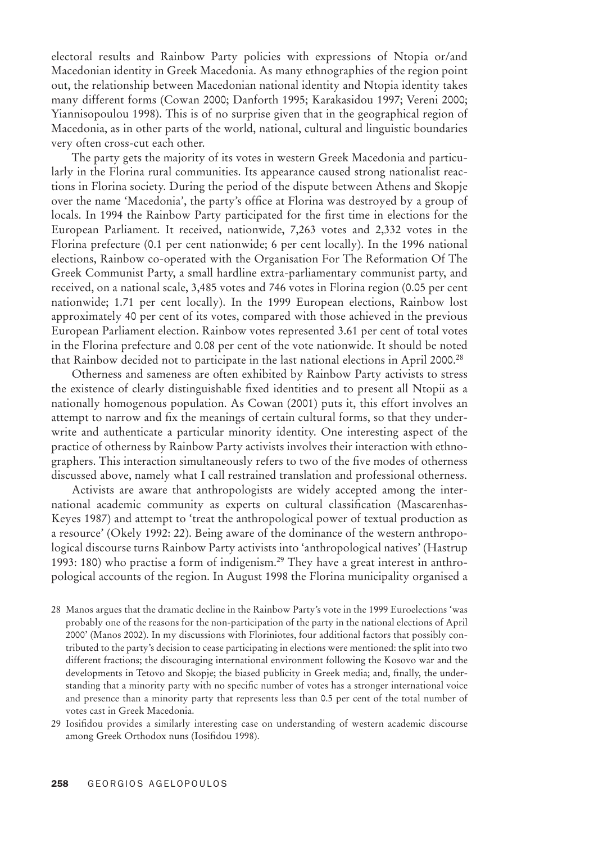electoral results and Rainbow Party policies with expressions of Ntopia or/and Macedonian identity in Greek Macedonia. As many ethnographies of the region point out, the relationship between Macedonian national identity and Ntopia identity takes many different forms (Cowan 2000; Danforth 1995; Karakasidou 1997; Vereni 2000; Yiannisopoulou 1998). This is of no surprise given that in the geographical region of Macedonia, as in other parts of the world, national, cultural and linguistic boundaries very often cross-cut each other.

The party gets the majority of its votes in western Greek Macedonia and particularly in the Florina rural communities. Its appearance caused strong nationalist reactions in Florina society. During the period of the dispute between Athens and Skopje over the name 'Macedonia', the party's office at Florina was destroyed by a group of locals. In 1994 the Rainbow Party participated for the first time in elections for the European Parliament. It received, nationwide, 7,263 votes and 2,332 votes in the Florina prefecture (0.1 per cent nationwide; 6 per cent locally). In the 1996 national elections, Rainbow co-operated with the Organisation For The Reformation Of The Greek Communist Party, a small hardline extra-parliamentary communist party, and received, on a national scale, 3,485 votes and 746 votes in Florina region (0.05 per cent nationwide; 1.71 per cent locally). In the 1999 European elections, Rainbow lost approximately 40 per cent of its votes, compared with those achieved in the previous European Parliament election. Rainbow votes represented 3.61 per cent of total votes in the Florina prefecture and 0.08 per cent of the vote nationwide. It should be noted that Rainbow decided not to participate in the last national elections in April 2000.28

Otherness and sameness are often exhibited by Rainbow Party activists to stress the existence of clearly distinguishable fixed identities and to present all Ntopii as a nationally homogenous population. As Cowan (2001) puts it, this effort involves an attempt to narrow and fix the meanings of certain cultural forms, so that they underwrite and authenticate a particular minority identity. One interesting aspect of the practice of otherness by Rainbow Party activists involves their interaction with ethnographers. This interaction simultaneously refers to two of the five modes of otherness discussed above, namely what I call restrained translation and professional otherness.

Activists are aware that anthropologists are widely accepted among the international academic community as experts on cultural classification (Mascarenhas-Keyes 1987) and attempt to 'treat the anthropological power of textual production as a resource' (Okely 1992: 22). Being aware of the dominance of the western anthropological discourse turns Rainbow Party activists into 'anthropological natives' (Hastrup 1993: 180) who practise a form of indigenism.29 They have a great interest in anthropological accounts of the region. In August 1998 the Florina municipality organised a

- 28 Manos argues that the dramatic decline in the Rainbow Party's vote in the 1999 Euroelections 'was probably one of the reasons for the non-participation of the party in the national elections of April 2000' (Manos 2002). In my discussions with Floriniotes, four additional factors that possibly contributed to the party's decision to cease participating in elections were mentioned: the split into two different fractions; the discouraging international environment following the Kosovo war and the developments in Tetovo and Skopje; the biased publicity in Greek media; and, finally, the understanding that a minority party with no specific number of votes has a stronger international voice and presence than a minority party that represents less than 0.5 per cent of the total number of votes cast in Greek Macedonia.
- 29 Iosifidou provides a similarly interesting case on understanding of western academic discourse among Greek Orthodox nuns (Iosifidou 1998).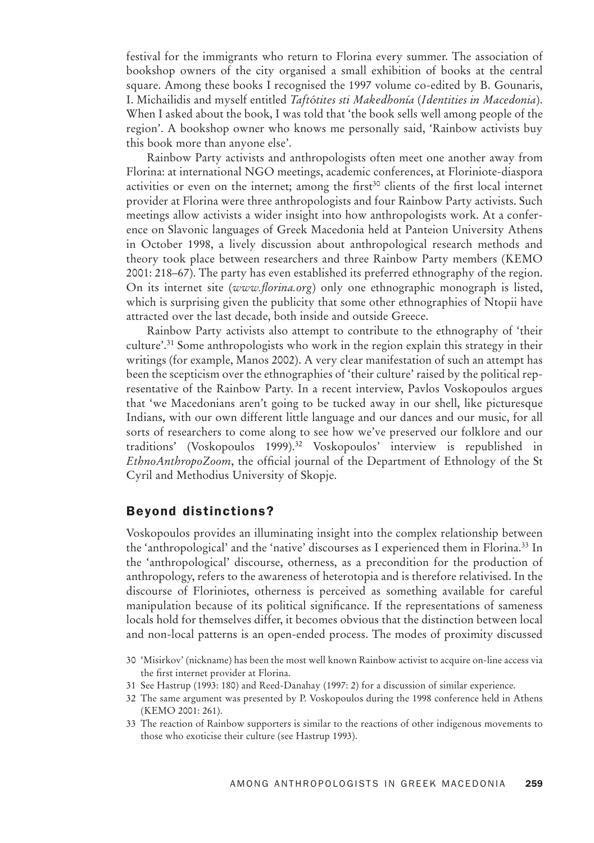festival for the immigrants who return to Florina every summer. The association of bookshop owners of the city organised a small exhibition of books at the central square. Among these books I recognised the 1997 volume co-edited by B. Gounaris, I. Michailidis and myself entitled *Taft*ó*tites sti Makedhonía* (*Identities in Macedonia*). When I asked about the book, I was told that 'the book sells well among people of the region'. A bookshop owner who knows me personally said, 'Rainbow activists buy this book more than anyone else'.

Rainbow Party activists and anthropologists often meet one another away from Florina: at international NGO meetings, academic conferences, at Floriniote-diaspora activities or even on the internet; among the first $30$  clients of the first local internet provider at Florina were three anthropologists and four Rainbow Party activists. Such meetings allow activists a wider insight into how anthropologists work. At a conference on Slavonic languages of Greek Macedonia held at Panteion University Athens in October 1998, a lively discussion about anthropological research methods and theory took place between researchers and three Rainbow Party members (KEMO 2001: 218–67). The party has even established its preferred ethnography of the region. On its internet site (*www.florina.org*) only one ethnographic monograph is listed, which is surprising given the publicity that some other ethnographies of Ntopii have attracted over the last decade, both inside and outside Greece.

Rainbow Party activists also attempt to contribute to the ethnography of 'their culture'.31 Some anthropologists who work in the region explain this strategy in their writings (for example, Manos 2002). A very clear manifestation of such an attempt has been the scepticism over the ethnographies of 'their culture' raised by the political representative of the Rainbow Party. In a recent interview, Pavlos Voskopoulos argues that 'we Macedonians aren't going to be tucked away in our shell, like picturesque Indians, with our own different little language and our dances and our music, for all sorts of researchers to come along to see how we've preserved our folklore and our traditions' (Voskopoulos 1999).32 Voskopoulos' interview is republished in *EthnoAnthropoZoom*, the official journal of the Department of Ethnology of the St Cyril and Methodius University of Skopje.

### Beyond distinctions?

Voskopoulos provides an illuminating insight into the complex relationship between the 'anthropological' and the 'native' discourses as I experienced them in Florina.33 In the 'anthropological' discourse, otherness, as a precondition for the production of anthropology, refers to the awareness of heterotopia and is therefore relativised. In the discourse of Floriniotes, otherness is perceived as something available for careful manipulation because of its political significance. If the representations of sameness locals hold for themselves differ, it becomes obvious that the distinction between local and non-local patterns is an open-ended process. The modes of proximity discussed

- 30 'Misirkov' (nickname) has been the most well known Rainbow activist to acquire on-line access via the first internet provider at Florina.
- 31 See Hastrup (1993: 180) and Reed-Danahay (1997: 2) for a discussion of similar experience.
- 32 The same argument was presented by P. Voskopoulos during the 1998 conference held in Athens (KEMO 2001: 261).
- 33 The reaction of Rainbow supporters is similar to the reactions of other indigenous movements to those who exoticise their culture (see Hastrup 1993).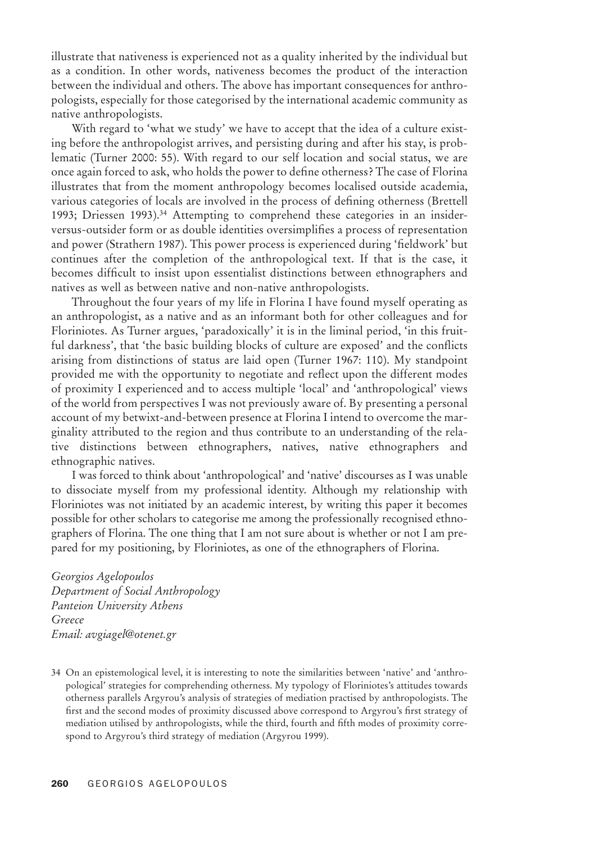illustrate that nativeness is experienced not as a quality inherited by the individual but as a condition. In other words, nativeness becomes the product of the interaction between the individual and others. The above has important consequences for anthropologists, especially for those categorised by the international academic community as native anthropologists.

With regard to 'what we study' we have to accept that the idea of a culture existing before the anthropologist arrives, and persisting during and after his stay, is problematic (Turner 2000: 55). With regard to our self location and social status, we are once again forced to ask, who holds the power to define otherness? The case of Florina illustrates that from the moment anthropology becomes localised outside academia, various categories of locals are involved in the process of defining otherness (Brettell 1993; Driessen 1993).<sup>34</sup> Attempting to comprehend these categories in an insiderversus-outsider form or as double identities oversimplifies a process of representation and power (Strathern 1987). This power process is experienced during 'fieldwork' but continues after the completion of the anthropological text. If that is the case, it becomes difficult to insist upon essentialist distinctions between ethnographers and natives as well as between native and non-native anthropologists.

Throughout the four years of my life in Florina I have found myself operating as an anthropologist, as a native and as an informant both for other colleagues and for Floriniotes. As Turner argues, 'paradoxically' it is in the liminal period, 'in this fruitful darkness', that 'the basic building blocks of culture are exposed' and the conflicts arising from distinctions of status are laid open (Turner 1967: 110). My standpoint provided me with the opportunity to negotiate and reflect upon the different modes of proximity I experienced and to access multiple 'local' and 'anthropological' views of the world from perspectives I was not previously aware of. By presenting a personal account of my betwixt-and-between presence at Florina I intend to overcome the marginality attributed to the region and thus contribute to an understanding of the relative distinctions between ethnographers, natives, native ethnographers and ethnographic natives.

I was forced to think about 'anthropological' and 'native' discourses as I was unable to dissociate myself from my professional identity. Although my relationship with Floriniotes was not initiated by an academic interest, by writing this paper it becomes possible for other scholars to categorise me among the professionally recognised ethnographers of Florina. The one thing that I am not sure about is whether or not I am prepared for my positioning, by Floriniotes, as one of the ethnographers of Florina.

*Georgios Agelopoulos Department of Social Anthropology Panteion University Athens Greece Email: avgiagel@otenet.gr*

34 On an epistemological level, it is interesting to note the similarities between 'native' and 'anthropological' strategies for comprehending otherness. My typology of Floriniotes's attitudes towards otherness parallels Argyrou's analysis of strategies of mediation practised by anthropologists. The first and the second modes of proximity discussed above correspond to Argyrou's first strategy of mediation utilised by anthropologists, while the third, fourth and fifth modes of proximity correspond to Argyrou's third strategy of mediation (Argyrou 1999).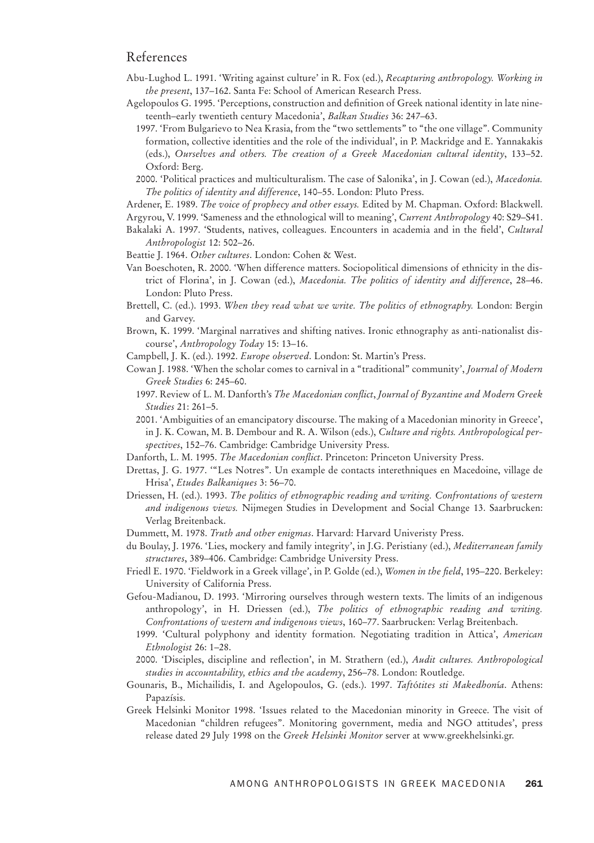## References

- Abu-Lughod L. 1991. 'Writing against culture' in R. Fox (ed.), *Recapturing anthropology. Working in the present*, 137–162. Santa Fe: School of American Research Press.
- Agelopoulos G. 1995. 'Perceptions, construction and definition of Greek national identity in late nineteenth–early twentieth century Macedonia', *Balkan Studies* 36: 247–63.
	- 1997. 'From Bulgarievo to Nea Krasia, from the "two settlements" to "the one village". Community formation, collective identities and the role of the individual', in P. Mackridge and E. Yannakakis (eds.), *Ourselves and others. The creation of a Greek Macedonian cultural identity*, 133–52. Oxford: Berg.
	- 2000. 'Political practices and multiculturalism. The case of Salonika', in J. Cowan (ed.), *Macedonia. The politics of identity and difference*, 140–55. London: Pluto Press.
- Ardener, E. 1989. *The voice of prophecy and other essays.* Edited by M. Chapman. Oxford: Blackwell.
- Argyrou, V. 1999. 'Sameness and the ethnological will to meaning', *Current Anthropology* 40: S29–S41. Bakalaki A. 1997. 'Students, natives, colleagues. Encounters in academia and in the field', *Cultural*

```
Anthropologist 12: 502–26.
```
- Beattie J. 1964. *Other cultures*. London: Cohen & West.
- Van Boeschoten, R. 2000. 'When difference matters. Sociopolitical dimensions of ethnicity in the district of Florina', in J. Cowan (ed.), *Macedonia. The politics of identity and difference*, 28–46. London: Pluto Press.
- Brettell, C. (ed.). 1993. *When they read what we write. The politics of ethnography.* London: Bergin and Garvey.
- Brown, K. 1999. 'Marginal narratives and shifting natives. Ironic ethnography as anti-nationalist discourse', *Anthropology Today* 15: 13–16.
- Campbell, J. K. (ed.). 1992. *Europe observed*. London: St. Martin's Press.
- Cowan J. 1988. 'When the scholar comes to carnival in a "traditional" community', *Journal of Modern Greek Studies* 6: 245–60.
	- 1997. Review of L. M. Danforth's *The Macedonian conflict*, *Journal of Byzantine and Modern Greek Studies* 21: 261–5.
	- 2001. 'Ambiguities of an emancipatory discourse. The making of a Macedonian minority in Greece', in J. K. Cowan, M. B. Dembour and R. A. Wilson (eds.), *Culture and rights. Anthropological perspectives*, 152–76. Cambridge: Cambridge University Press.
- Danforth, L. M. 1995. *The Macedonian conflict*. Princeton: Princeton University Press.
- Drettas, J. G. 1977. '"Les Notres". Un example de contacts interethniques en Macedoine, village de Hrisa', *Etudes Balkaniques* 3: 56–70.
- Driessen, H. (ed.). 1993. *The politics of ethnographic reading and writing. Confrontations of western and indigenous views.* Nijmegen Studies in Development and Social Change 13. Saarbrucken: Verlag Breitenback.
- Dummett, M. 1978. *Truth and other enigmas*. Harvard: Harvard Univeristy Press.
- du Boulay, J. 1976. 'Lies, mockery and family integrity', in J.G. Peristiany (ed.), *Mediterranean family structures*, 389–406. Cambridge: Cambridge University Press.
- Friedl E. 1970. 'Fieldwork in a Greek village', in P. Golde (ed.), *Women in the field*, 195–220. Berkeley: University of California Press.
- Gefou-Madianou, D. 1993. 'Mirroring ourselves through western texts. The limits of an indigenous anthropology', in H. Driessen (ed.), *The politics of ethnographic reading and writing. Confrontations of western and indigenous views*, 160–77. Saarbrucken: Verlag Breitenbach.
	- 1999. 'Cultural polyphony and identity formation. Negotiating tradition in Attica', *American Ethnologist* 26: 1–28.
	- 2000. 'Disciples, discipline and reflection', in M. Strathern (ed.), *Audit cultures. Anthropological studies in accountability, ethics and the academy*, 256–78. London: Routledge.
- Gounaris, B., Michailidis, I. and Agelopoulos, G. (eds.). 1997. *Taft*ó*tites sti Makedhon*í*a*. Athens: Papazísis.
- Greek Helsinki Monitor 1998. 'Issues related to the Macedonian minority in Greece. The visit of Macedonian "children refugees". Monitoring government, media and NGO attitudes', press release dated 29 July 1998 on the *Greek Helsinki Monitor* server at www.greekhelsinki.gr.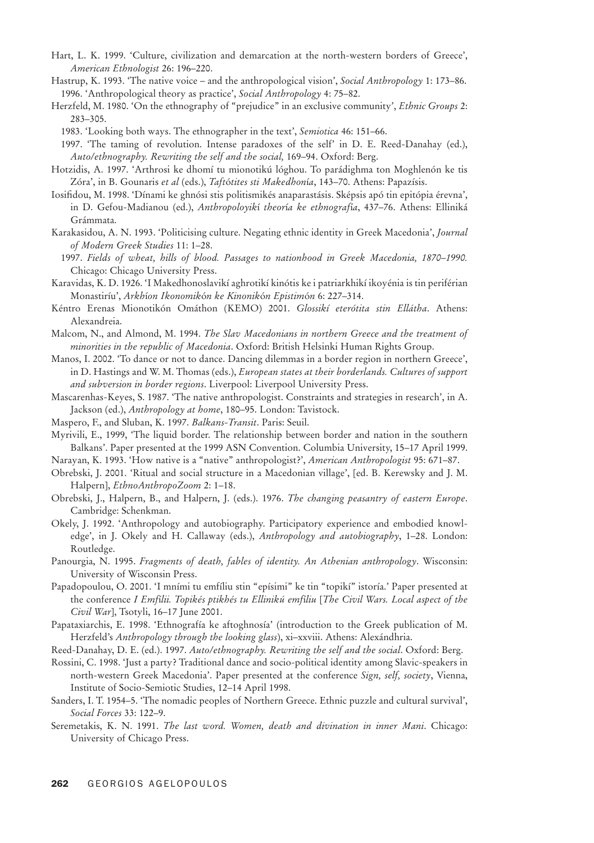- Hart, L. K. 1999. 'Culture, civilization and demarcation at the north-western borders of Greece', *American Ethnologist* 26: 196–220.
- Hastrup, K. 1993. 'The native voice and the anthropological vision', *Social Anthropology* 1: 173–86. 1996. 'Anthropological theory as practice', *Social Anthropology* 4: 75–82.
- Herzfeld, M. 1980. 'On the ethnography of "prejudice" in an exclusive community', *Ethnic Groups* 2: 283–305.
	- 1983. 'Looking both ways. The ethnographer in the text', *Semiotica* 46: 151–66.
- 1997. 'The taming of revolution. Intense paradoxes of the self' in D. E. Reed-Danahay (ed.), *Auto/ethnography. Rewriting the self and the social,* 169–94. Oxford: Berg.
- Hotzidis, A. 1997. 'Arthrosi ke dhomí tu mionotikú lóghou. To parádighma ton Moghlenón ke tis Zóra', in B. Gounaris *et al* (eds.), *Taft*ó*tites sti Makedhon*í*a*, 143–70. Athens: Papazísis.
- Iosifidou, M. 1998. 'Dínami ke ghnósi stis politismikés anaparastásis. Sképsis apó tin epitópia érevna', in D. Gefou-Madianou (ed.), *Anthropoloyik*í *theor*í*a ke ethnograf*í*a*, 437–76. Athens: Elliniká Grámmata.
- Karakasidou, A. N. 1993. 'Politicising culture. Negating ethnic identity in Greek Macedonia', *Journal of Modern Greek Studies* 11: 1–28.
	- 1997. *Fields of wheat, hills of blood. Passages to nationhood in Greek Macedonia, 1870–1990.* Chicago: Chicago University Press.
- Karavidas, K. D. 1926. 'I Makedhonoslavikí aghrotikí kinótis ke i patriarkhikí ikoyénia is tin periférian Monastiríu', *Arkh*í*on Ikonomik*ó*n ke Kinonik*ó*n Epistim*ó*n* 6: 227–314.
- Kéntro Erenas Mionotikón Omáthon (KEMO) 2001. *Glossikí eterótita stin Ellátha*. Athens: Alexandreia.
- Malcom, N., and Almond, M. 1994. *The Slav Macedonians in northern Greece and the treatment of minorities in the republic of Macedonia*. Oxford: British Helsinki Human Rights Group.
- Manos, I. 2002. 'To dance or not to dance. Dancing dilemmas in a border region in northern Greece', in D. Hastings and W. M. Thomas (eds.), *European states at their borderlands. Cultures of support and subversion in border regions*. Liverpool: Liverpool University Press.
- Mascarenhas-Keyes, S. 1987. 'The native anthropologist. Constraints and strategies in research', in A. Jackson (ed.), *Anthropology at home*, 180–95. London: Tavistock.
- Maspero, F., and Sluban, K. 1997. *Balkans-Transit*. Paris: Seuil.
- Myrivili, E., 1999, 'The liquid border. The relationship between border and nation in the southern Balkans'. Paper presented at the 1999 ASN Convention. Columbia University, 15–17 April 1999.
- Narayan, K. 1993. 'How native is a "native" anthropologist?', *American Anthropologist* 95: 671–87.
- Obrebski, J. 2001. 'Ritual and social structure in a Macedonian village', [ed. B. Kerewsky and J. M. Halpern], *EthnoAnthropoZoom* 2: 1–18.
- Obrebski, J., Halpern, B., and Halpern, J. (eds.). 1976. *The changing peasantry of eastern Europe*. Cambridge: Schenkman.
- Okely, J. 1992. 'Anthropology and autobiography. Participatory experience and embodied knowledge', in J. Okely and H. Callaway (eds.), *Anthropology and autobiography*, 1–28. London: Routledge.
- Panourgia, N. 1995. *Fragments of death, fables of identity. An Athenian anthropology*. Wisconsin: University of Wisconsin Press.
- Papadopoulou, O. 2001. 'I mními tu emfíliu stin "epísimi" ke tin "topikí" istoría.' Paper presented at the conference *I Emf*í*lii. Topikés ptikhés tu Ellinikú emf*í*liu* [*The Civil Wars. Local aspect of the Civil War*], Tsotyli, 16–17 June 2001.
- Papataxiarchis, E. 1998. 'Ethnografía ke aftoghnosía' (introduction to the Greek publication of M. Herzfeld's *Anthropology through the looking glass*), xi–xxviii. Athens: Alexándhria.
- Reed-Danahay, D. E. (ed.). 1997. *Auto/ethnography. Rewriting the self and the social*. Oxford: Berg.
- Rossini, C. 1998. 'Just a party? Traditional dance and socio-political identity among Slavic-speakers in north-western Greek Macedonia'. Paper presented at the conference *Sign, self, society*, Vienna, Institute of Socio-Semiotic Studies, 12–14 April 1998.
- Sanders, I. T. 1954–5. 'The nomadic peoples of Northern Greece. Ethnic puzzle and cultural survival', *Social Forces* 33: 122–9.
- Seremetakis, K. N. 1991. *The last word. Women, death and divination in inner Mani*. Chicago: University of Chicago Press.